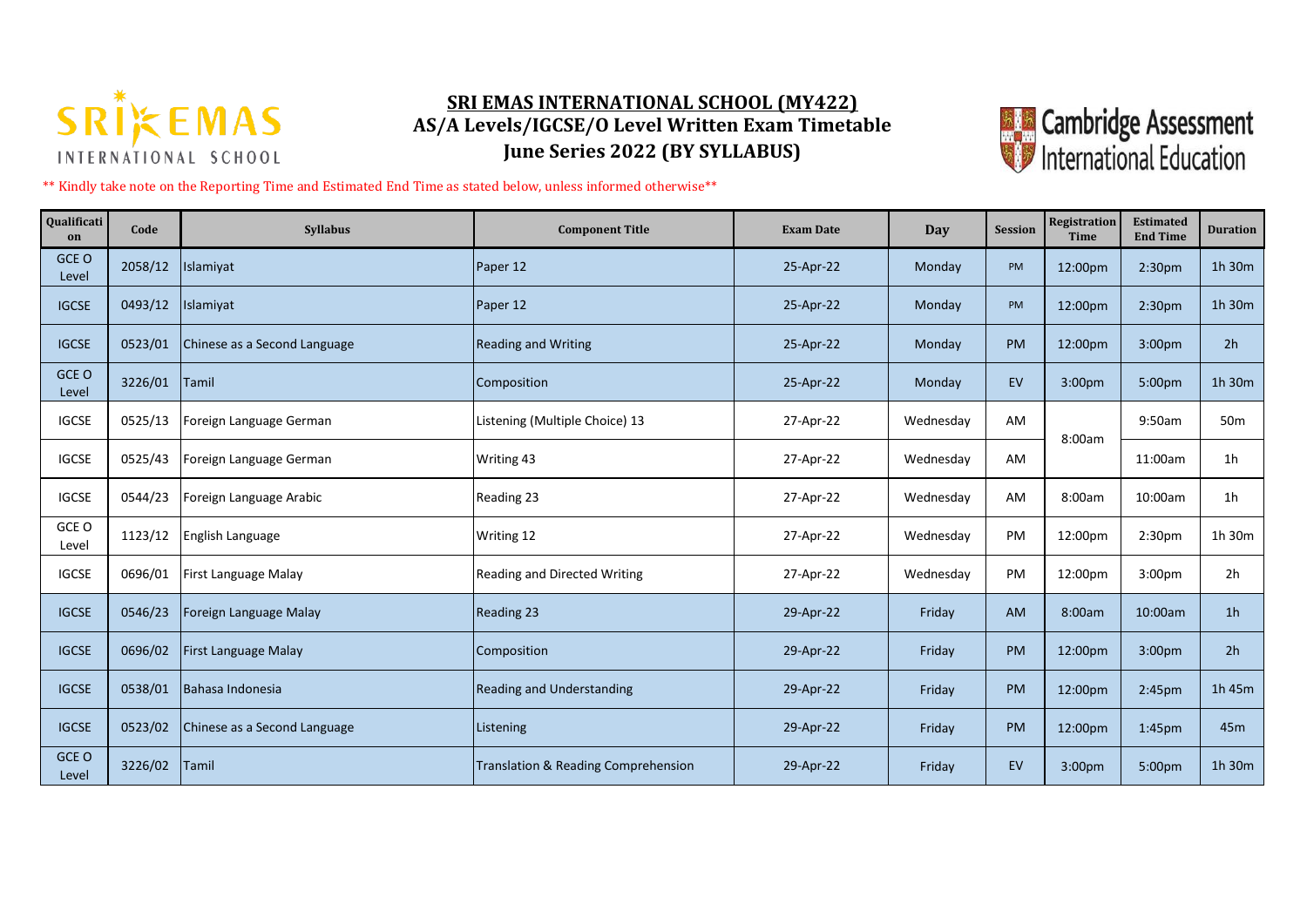

## **SRI EMAS INTERNATIONAL SCHOOL (MY422) AS/A Levels/IGCSE/O Level Written Exam Timetable June Series 2022 (BY SYLLABUS)**



\*\* Kindly take note on the Reporting Time and Estimated End Time as stated below, unless informed otherwise\*\*

| Qualificati<br>on | Code    | <b>Syllabus</b>              | <b>Component Title</b>              | <b>Exam Date</b> | <b>Day</b> | <b>Session</b> | Registration<br><b>Time</b> | <b>Estimated</b><br><b>End Time</b> | <b>Duration</b> |
|-------------------|---------|------------------------------|-------------------------------------|------------------|------------|----------------|-----------------------------|-------------------------------------|-----------------|
| GCE O<br>Level    | 2058/12 | Islamiyat                    | Paper 12                            | 25-Apr-22        | Monday     | PM             | 12:00pm                     | 2:30pm                              | 1h 30m          |
| <b>IGCSE</b>      | 0493/12 | Islamiyat                    | Paper 12                            | 25-Apr-22        | Monday     | <b>PM</b>      | 12:00pm                     | 2:30 <sub>pm</sub>                  | 1h 30m          |
| <b>IGCSE</b>      | 0523/01 | Chinese as a Second Language | <b>Reading and Writing</b>          | 25-Apr-22        | Monday     | <b>PM</b>      | 12:00pm                     | 3:00 <sub>pm</sub>                  | 2 <sub>h</sub>  |
| GCE O<br>Level    | 3226/01 | Tamil                        | Composition                         | 25-Apr-22        | Monday     | EV             | 3:00pm                      | 5:00pm                              | 1h 30m          |
| <b>IGCSE</b>      | 0525/13 | Foreign Language German      | Listening (Multiple Choice) 13      | 27-Apr-22        | Wednesday  | AM             | 8:00am                      | 9:50am                              | 50 <sub>m</sub> |
| <b>IGCSE</b>      | 0525/43 | Foreign Language German      | Writing 43                          | 27-Apr-22        | Wednesday  | AM             |                             | 11:00am                             | 1 <sub>h</sub>  |
| <b>IGCSE</b>      | 0544/23 | Foreign Language Arabic      | Reading 23                          | 27-Apr-22        | Wednesday  | AM             | 8:00am                      | 10:00am                             | 1 <sub>h</sub>  |
| GCE O<br>Level    | 1123/12 | English Language             | Writing 12                          | 27-Apr-22        | Wednesday  | PM             | 12:00pm                     | 2:30pm                              | 1h 30m          |
| <b>IGCSE</b>      | 0696/01 | First Language Malay         | <b>Reading and Directed Writing</b> | 27-Apr-22        | Wednesday  | PM             | 12:00pm                     | 3:00 <sub>pm</sub>                  | 2h              |
| <b>IGCSE</b>      | 0546/23 | Foreign Language Malay       | <b>Reading 23</b>                   | 29-Apr-22        | Friday     | <b>AM</b>      | 8:00am                      | 10:00am                             | 1 <sub>h</sub>  |
| <b>IGCSE</b>      | 0696/02 | First Language Malay         | Composition                         | 29-Apr-22        | Friday     | <b>PM</b>      | 12:00pm                     | 3:00 <sub>pm</sub>                  | 2h              |
| <b>IGCSE</b>      | 0538/01 | Bahasa Indonesia             | <b>Reading and Understanding</b>    | 29-Apr-22        | Friday     | <b>PM</b>      | 12:00pm                     | 2:45 <sub>pm</sub>                  | 1h 45m          |
| <b>IGCSE</b>      | 0523/02 | Chinese as a Second Language | Listening                           | 29-Apr-22        | Friday     | <b>PM</b>      | 12:00pm                     | 1:45 <sub>pm</sub>                  | 45m             |
| GCE O<br>Level    | 3226/02 | <b>Tamil</b>                 | Translation & Reading Comprehension | 29-Apr-22        | Friday     | EV             | 3:00pm                      | 5:00pm                              | 1h 30m          |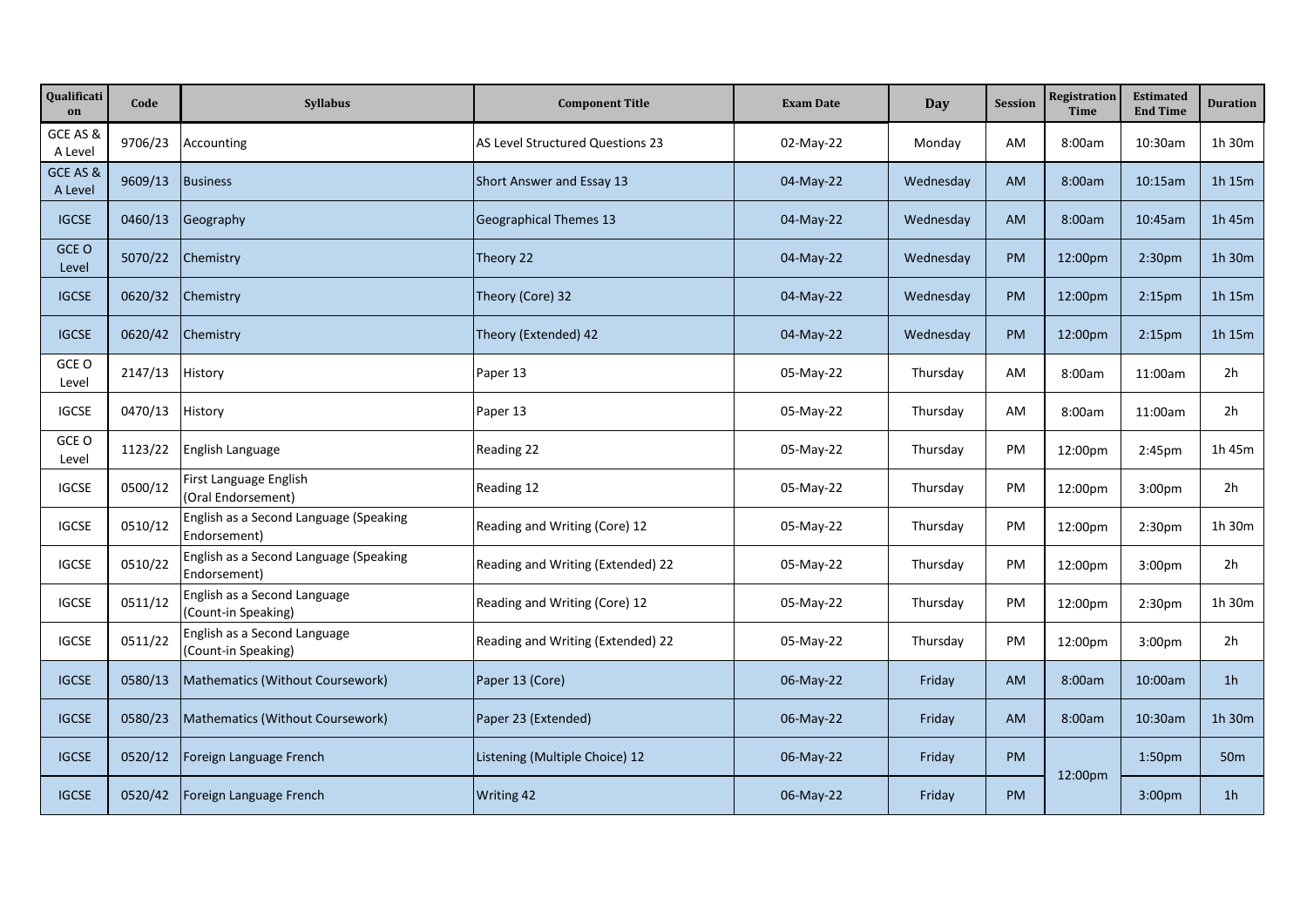| Qualificati<br>on   | Code    | <b>Syllabus</b>                                        | <b>Component Title</b>            | <b>Exam Date</b> | Day       | <b>Session</b> | Registration<br><b>Time</b> | <b>Estimated</b><br><b>End Time</b> | <b>Duration</b> |
|---------------------|---------|--------------------------------------------------------|-----------------------------------|------------------|-----------|----------------|-----------------------------|-------------------------------------|-----------------|
| GCE AS &<br>A Level | 9706/23 | Accounting                                             | AS Level Structured Questions 23  | 02-May-22        | Monday    | AM             | 8:00am                      | 10:30am                             | 1h 30m          |
| GCE AS &<br>A Level | 9609/13 | <b>Business</b>                                        | Short Answer and Essay 13         | 04-May-22        | Wednesday | <b>AM</b>      | 8:00am                      | 10:15am                             | 1h 15m          |
| <b>IGCSE</b>        | 0460/13 | Geography                                              | <b>Geographical Themes 13</b>     | 04-May-22        | Wednesday | <b>AM</b>      | 8:00am                      | 10:45am                             | 1h 45m          |
| GCE O<br>Level      | 5070/22 | Chemistry                                              | Theory 22                         | 04-May-22        | Wednesday | <b>PM</b>      | 12:00pm                     | 2:30 <sub>pm</sub>                  | 1h 30m          |
| <b>IGCSE</b>        | 0620/32 | Chemistry                                              | Theory (Core) 32                  | 04-May-22        | Wednesday | <b>PM</b>      | 12:00pm                     | 2:15 <sub>pm</sub>                  | 1h 15m          |
| <b>IGCSE</b>        | 0620/42 | Chemistry                                              | Theory (Extended) 42              | 04-May-22        | Wednesday | <b>PM</b>      | 12:00pm                     | 2:15 <sub>pm</sub>                  | 1h 15m          |
| GCE O<br>Level      | 2147/13 | History                                                | Paper 13                          | 05-May-22        | Thursday  | AM             | 8:00am                      | 11:00am                             | 2h              |
| <b>IGCSE</b>        | 0470/13 | History                                                | Paper 13                          | 05-May-22        | Thursday  | AM             | 8:00am                      | 11:00am                             | 2h              |
| GCE O<br>Level      | 1123/22 | English Language                                       | Reading 22                        | 05-May-22        | Thursday  | PM             | 12:00pm                     | 2:45pm                              | 1h 45m          |
| <b>IGCSE</b>        | 0500/12 | First Language English<br>(Oral Endorsement)           | Reading 12                        | 05-May-22        | Thursday  | PM             | 12:00pm                     | 3:00pm                              | 2h              |
| <b>IGCSE</b>        | 0510/12 | English as a Second Language (Speaking<br>Endorsement) | Reading and Writing (Core) 12     | 05-May-22        | Thursday  | PM             | 12:00pm                     | 2:30 <sub>pm</sub>                  | 1h 30m          |
| <b>IGCSE</b>        | 0510/22 | English as a Second Language (Speaking<br>Endorsement) | Reading and Writing (Extended) 22 | 05-May-22        | Thursday  | PM             | 12:00pm                     | 3:00pm                              | 2h              |
| <b>IGCSE</b>        | 0511/12 | English as a Second Language<br>(Count-in Speaking)    | Reading and Writing (Core) 12     | 05-May-22        | Thursday  | PM             | 12:00pm                     | 2:30pm                              | 1h 30m          |
| <b>IGCSE</b>        | 0511/22 | English as a Second Language<br>(Count-in Speaking)    | Reading and Writing (Extended) 22 | 05-May-22        | Thursday  | PM             | 12:00pm                     | 3:00pm                              | 2h              |
| <b>IGCSE</b>        | 0580/13 | Mathematics (Without Coursework)                       | Paper 13 (Core)                   | 06-May-22        | Friday    | <b>AM</b>      | 8:00am                      | 10:00am                             | 1 <sub>h</sub>  |
| <b>IGCSE</b>        | 0580/23 | Mathematics (Without Coursework)                       | Paper 23 (Extended)               | 06-May-22        | Friday    | <b>AM</b>      | 8:00am                      | 10:30am                             | 1h 30m          |
| <b>IGCSE</b>        | 0520/12 | Foreign Language French                                | Listening (Multiple Choice) 12    | 06-May-22        | Friday    | <b>PM</b>      |                             | 1:50 <sub>pm</sub>                  | 50 <sub>m</sub> |
| <b>IGCSE</b>        | 0520/42 | Foreign Language French                                | <b>Writing 42</b>                 | 06-May-22        | Friday    | <b>PM</b>      | 12:00pm                     | 3:00pm                              | 1 <sub>h</sub>  |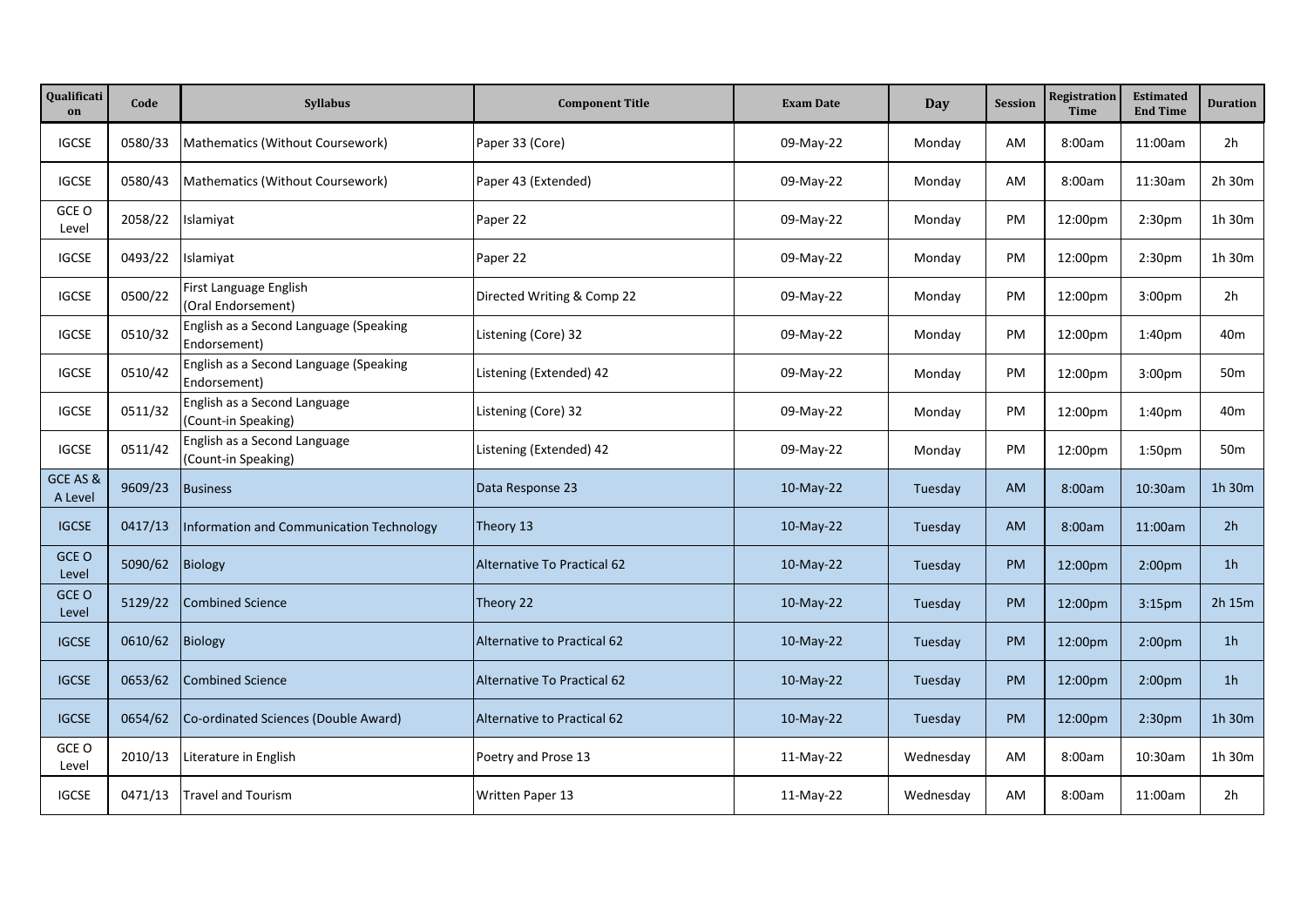| Qualificati<br>on   | Code    | <b>Syllabus</b>                                        | <b>Component Title</b>             | <b>Exam Date</b> | Day       | <b>Session</b> | Registration<br>Time | <b>Estimated</b><br><b>End Time</b> | <b>Duration</b> |
|---------------------|---------|--------------------------------------------------------|------------------------------------|------------------|-----------|----------------|----------------------|-------------------------------------|-----------------|
| <b>IGCSE</b>        | 0580/33 | Mathematics (Without Coursework)                       | Paper 33 (Core)                    | 09-May-22        | Monday    | AM             | 8:00am               | 11:00am                             | 2h              |
| <b>IGCSE</b>        | 0580/43 | Mathematics (Without Coursework)                       | Paper 43 (Extended)                | 09-May-22        | Monday    | AM             | 8:00am               | 11:30am                             | 2h 30m          |
| GCE O<br>Level      | 2058/22 | Islamiyat                                              | Paper 22                           | 09-May-22        | Monday    | PM.            | 12:00pm              | 2:30pm                              | 1h 30m          |
| <b>IGCSE</b>        | 0493/22 | Islamiyat                                              | Paper 22                           | 09-May-22        | Monday    | PM             | 12:00pm              | 2:30 <sub>pm</sub>                  | 1h 30m          |
| <b>IGCSE</b>        | 0500/22 | First Language English<br>(Oral Endorsement)           | Directed Writing & Comp 22         | 09-May-22        | Monday    | PM             | 12:00pm              | 3:00 <sub>pm</sub>                  | 2h              |
| <b>IGCSE</b>        | 0510/32 | English as a Second Language (Speaking<br>Endorsement) | Listening (Core) 32                | 09-May-22        | Monday    | PM             | 12:00pm              | 1:40pm                              | 40m             |
| <b>IGCSE</b>        | 0510/42 | English as a Second Language (Speaking<br>Endorsement) | Listening (Extended) 42            | 09-May-22        | Monday    | PM             | 12:00pm              | 3:00 <sub>pm</sub>                  | 50 <sub>m</sub> |
| <b>IGCSE</b>        | 0511/32 | English as a Second Language<br>(Count-in Speaking)    | Listening (Core) 32                | 09-May-22        | Monday    | <b>PM</b>      | 12:00pm              | 1:40 <sub>pm</sub>                  | 40m             |
| <b>IGCSE</b>        | 0511/42 | English as a Second Language<br>(Count-in Speaking)    | Listening (Extended) 42            | 09-May-22        | Monday    | PM             | 12:00pm              | 1:50 <sub>pm</sub>                  | 50 <sub>m</sub> |
| GCE AS &<br>A Level | 9609/23 | <b>Business</b>                                        | Data Response 23                   | $10-May-22$      | Tuesday   | <b>AM</b>      | 8:00am               | 10:30am                             | 1h 30m          |
| <b>IGCSE</b>        | 0417/13 | Information and Communication Technology               | Theory 13                          | $10-May-22$      | Tuesday   | <b>AM</b>      | 8:00am               | 11:00am                             | 2 <sub>h</sub>  |
| GCE O<br>Level      | 5090/62 | Biology                                                | <b>Alternative To Practical 62</b> | 10-May-22        | Tuesday   | <b>PM</b>      | 12:00pm              | 2:00 <sub>pm</sub>                  | 1 <sub>h</sub>  |
| GCE O<br>Level      | 5129/22 | <b>Combined Science</b>                                | Theory 22                          | 10-May-22        | Tuesday   | <b>PM</b>      | 12:00pm              | 3:15 <sub>pm</sub>                  | 2h 15m          |
| <b>IGCSE</b>        | 0610/62 | <b>Biology</b>                                         | Alternative to Practical 62        | $10-May-22$      | Tuesday   | <b>PM</b>      | 12:00pm              | 2:00 <sub>pm</sub>                  | 1 <sub>h</sub>  |
| <b>IGCSE</b>        | 0653/62 | <b>Combined Science</b>                                | Alternative To Practical 62        | $10-May-22$      | Tuesday   | <b>PM</b>      | 12:00pm              | 2:00 <sub>pm</sub>                  | 1 <sub>h</sub>  |
| <b>IGCSE</b>        | 0654/62 | Co-ordinated Sciences (Double Award)                   | Alternative to Practical 62        | $10-May-22$      | Tuesday   | <b>PM</b>      | 12:00pm              | 2:30pm                              | 1h 30m          |
| GCE O<br>Level      | 2010/13 | Literature in English                                  | Poetry and Prose 13                | $11-May-22$      | Wednesday | AM             | 8:00am               | 10:30am                             | 1h 30m          |
| <b>IGCSE</b>        | 0471/13 | <b>Travel and Tourism</b>                              | Written Paper 13                   | $11-Mav-22$      | Wednesday | AM             | 8:00am               | 11:00am                             | 2 <sub>h</sub>  |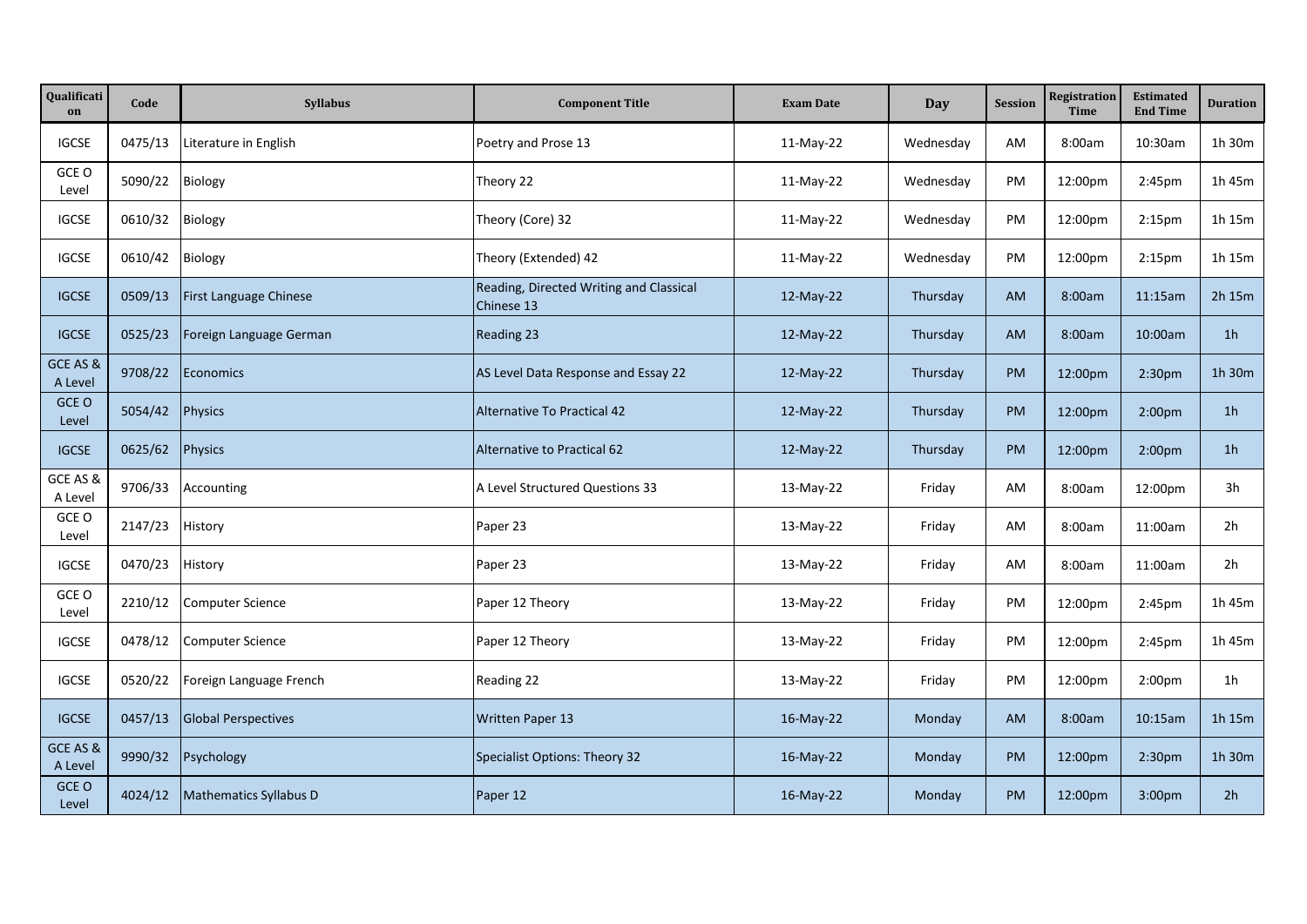| Qualificati<br>on   | Code    | <b>Syllabus</b>            | <b>Component Title</b>                                | <b>Exam Date</b> | Day       | <b>Session</b> | Registration<br><b>Time</b> | <b>Estimated</b><br><b>End Time</b> | <b>Duration</b> |
|---------------------|---------|----------------------------|-------------------------------------------------------|------------------|-----------|----------------|-----------------------------|-------------------------------------|-----------------|
| <b>IGCSE</b>        | 0475/13 | Literature in English      | Poetry and Prose 13                                   | 11-May-22        | Wednesday | AM             | 8:00am                      | 10:30am                             | 1h 30m          |
| GCE O<br>Level      | 5090/22 | Biology                    | Theory 22                                             | 11-May-22        | Wednesday | PM             | 12:00pm                     | 2:45pm                              | 1h 45m          |
| <b>IGCSE</b>        | 0610/32 | Biology                    | Theory (Core) 32                                      | 11-May-22        | Wednesday | PM             | 12:00pm                     | 2:15 <sub>pm</sub>                  | 1h 15m          |
| <b>IGCSE</b>        | 0610/42 | Biology                    | Theory (Extended) 42                                  | 11-May-22        | Wednesday | PM             | 12:00pm                     | 2:15 <sub>pm</sub>                  | 1h 15m          |
| <b>IGCSE</b>        | 0509/13 | First Language Chinese     | Reading, Directed Writing and Classical<br>Chinese 13 | 12-May-22        | Thursday  | <b>AM</b>      | 8:00am                      | 11:15am                             | 2h 15m          |
| <b>IGCSE</b>        | 0525/23 | Foreign Language German    | Reading 23                                            | $12-May-22$      | Thursday  | <b>AM</b>      | 8:00am                      | 10:00am                             | 1 <sub>h</sub>  |
| GCE AS &<br>A Level | 9708/22 | Economics                  | AS Level Data Response and Essay 22                   | $12$ -May-22     | Thursday  | <b>PM</b>      | 12:00pm                     | 2:30 <sub>pm</sub>                  | 1h 30m          |
| GCE O<br>Level      | 5054/42 | Physics                    | Alternative To Practical 42                           | 12-May-22        | Thursday  | <b>PM</b>      | 12:00pm                     | 2:00 <sub>pm</sub>                  | 1 <sub>h</sub>  |
| <b>IGCSE</b>        | 0625/62 | <b>Physics</b>             | Alternative to Practical 62                           | 12-May-22        | Thursday  | <b>PM</b>      | 12:00pm                     | 2:00 <sub>pm</sub>                  | 1 <sub>h</sub>  |
| GCE AS &<br>A Level | 9706/33 | Accounting                 | A Level Structured Questions 33                       | 13-May-22        | Friday    | AM             | 8:00am                      | 12:00pm                             | 3h              |
| GCE O<br>Level      | 2147/23 | History                    | Paper 23                                              | 13-May-22        | Friday    | AM             | 8:00am                      | 11:00am                             | 2h              |
| <b>IGCSE</b>        | 0470/23 | History                    | Paper 23                                              | 13-May-22        | Friday    | AM             | 8:00am                      | 11:00am                             | 2h              |
| GCE O<br>Level      | 2210/12 | <b>Computer Science</b>    | Paper 12 Theory                                       | 13-May-22        | Friday    | PM             | 12:00pm                     | 2:45pm                              | 1h 45m          |
| <b>IGCSE</b>        | 0478/12 | <b>Computer Science</b>    | Paper 12 Theory                                       | 13-May-22        | Friday    | PM             | 12:00pm                     | 2:45pm                              | 1h 45m          |
| <b>IGCSE</b>        | 0520/22 | Foreign Language French    | Reading 22                                            | 13-May-22        | Friday    | PM             | 12:00pm                     | 2:00 <sub>pm</sub>                  | 1 <sub>h</sub>  |
| <b>IGCSE</b>        | 0457/13 | <b>Global Perspectives</b> | Written Paper 13                                      | 16-May-22        | Monday    | <b>AM</b>      | 8:00am                      | 10:15am                             | 1h 15m          |
| GCE AS &<br>A Level | 9990/32 | Psychology                 | Specialist Options: Theory 32                         | 16-May-22        | Monday    | <b>PM</b>      | 12:00pm                     | 2:30 <sub>pm</sub>                  | 1h 30m          |
| GCE O<br>Level      | 4024/12 | Mathematics Syllabus D     | Paper 12                                              | $16$ -May-22     | Monday    | PM             | 12:00pm                     | 3:00 <sub>pm</sub>                  | 2h              |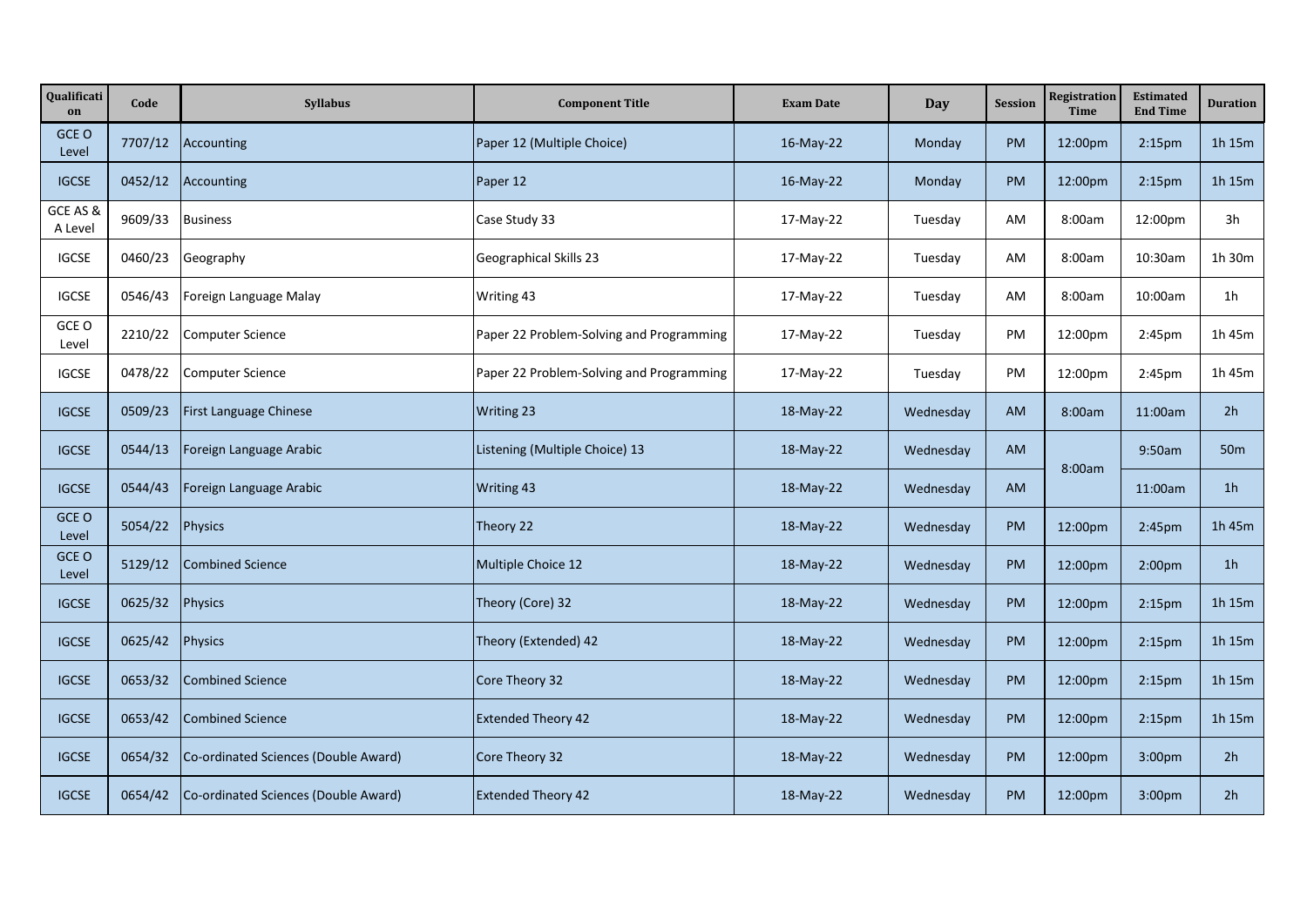| Qualificati<br>on   | Code    | <b>Syllabus</b>                      | <b>Component Title</b>                   | <b>Exam Date</b> | Day       | <b>Session</b> | Registration<br>Time | <b>Estimated</b><br><b>End Time</b> | <b>Duration</b> |
|---------------------|---------|--------------------------------------|------------------------------------------|------------------|-----------|----------------|----------------------|-------------------------------------|-----------------|
| GCE O<br>Level      | 7707/12 | Accounting                           | Paper 12 (Multiple Choice)               | 16-May-22        | Monday    | <b>PM</b>      | 12:00pm              | 2:15 <sub>pm</sub>                  | 1h 15m          |
| <b>IGCSE</b>        | 0452/12 | Accounting                           | Paper 12                                 | $16$ -May-22     | Monday    | <b>PM</b>      | 12:00pm              | 2:15 <sub>pm</sub>                  | 1h 15m          |
| GCE AS &<br>A Level | 9609/33 | <b>Business</b>                      | Case Study 33                            | 17-May-22        | Tuesday   | AM             | 8:00am               | 12:00pm                             | 3h              |
| <b>IGCSE</b>        | 0460/23 | Geography                            | Geographical Skills 23                   | 17-May-22        | Tuesday   | AM             | 8:00am               | 10:30am                             | 1h 30m          |
| <b>IGCSE</b>        | 0546/43 | Foreign Language Malay               | Writing 43                               | 17-May-22        | Tuesday   | AM             | 8:00am               | 10:00am                             | 1 <sub>h</sub>  |
| GCE O<br>Level      | 2210/22 | Computer Science                     | Paper 22 Problem-Solving and Programming | 17-May-22        | Tuesday   | PM             | 12:00pm              | 2:45 <sub>pm</sub>                  | 1h 45m          |
| <b>IGCSE</b>        | 0478/22 | <b>Computer Science</b>              | Paper 22 Problem-Solving and Programming | 17-May-22        | Tuesday   | PM             | 12:00pm              | 2:45pm                              | 1h 45m          |
| <b>IGCSE</b>        | 0509/23 | First Language Chinese               | <b>Writing 23</b>                        | 18-May-22        | Wednesday | <b>AM</b>      | 8:00am               | 11:00am                             | 2 <sub>h</sub>  |
| <b>IGCSE</b>        | 0544/13 | Foreign Language Arabic              | Listening (Multiple Choice) 13           | 18-May-22        | Wednesday | AM             | 8:00am               | 9:50am                              | 50 <sub>m</sub> |
| <b>IGCSE</b>        | 0544/43 | Foreign Language Arabic              | Writing 43                               | 18-May-22        | Wednesday | AM             |                      | 11:00am                             | 1 <sub>h</sub>  |
| GCE O<br>Level      | 5054/22 | Physics                              | Theory 22                                | 18-May-22        | Wednesday | PM             | 12:00pm              | 2:45 <sub>pm</sub>                  | 1h 45m          |
| GCE O<br>Level      | 5129/12 | Combined Science                     | Multiple Choice 12                       | 18-May-22        | Wednesday | <b>PM</b>      | 12:00pm              | 2:00 <sub>pm</sub>                  | 1 <sub>h</sub>  |
| <b>IGCSE</b>        | 0625/32 | Physics                              | Theory (Core) 32                         | 18-May-22        | Wednesday | <b>PM</b>      | 12:00pm              | 2:15 <sub>pm</sub>                  | 1h 15m          |
| <b>IGCSE</b>        | 0625/42 | Physics                              | Theory (Extended) 42                     | 18-May-22        | Wednesday | <b>PM</b>      | 12:00pm              | 2:15 <sub>pm</sub>                  | 1h 15m          |
| <b>IGCSE</b>        | 0653/32 | <b>Combined Science</b>              | Core Theory 32                           | 18-May-22        | Wednesday | <b>PM</b>      | 12:00pm              | 2:15 <sub>pm</sub>                  | 1h 15m          |
| <b>IGCSE</b>        | 0653/42 | <b>Combined Science</b>              | <b>Extended Theory 42</b>                | 18-May-22        | Wednesday | PM             | 12:00pm              | 2:15 <sub>pm</sub>                  | 1h 15m          |
| <b>IGCSE</b>        | 0654/32 | Co-ordinated Sciences (Double Award) | Core Theory 32                           | 18-May-22        | Wednesday | PM             | 12:00pm              | 3:00pm                              | 2 <sub>h</sub>  |
| <b>IGCSE</b>        | 0654/42 | Co-ordinated Sciences (Double Award) | <b>Extended Theory 42</b>                | 18-May-22        | Wednesday | PM             | 12:00pm              | 3:00pm                              | 2 <sub>h</sub>  |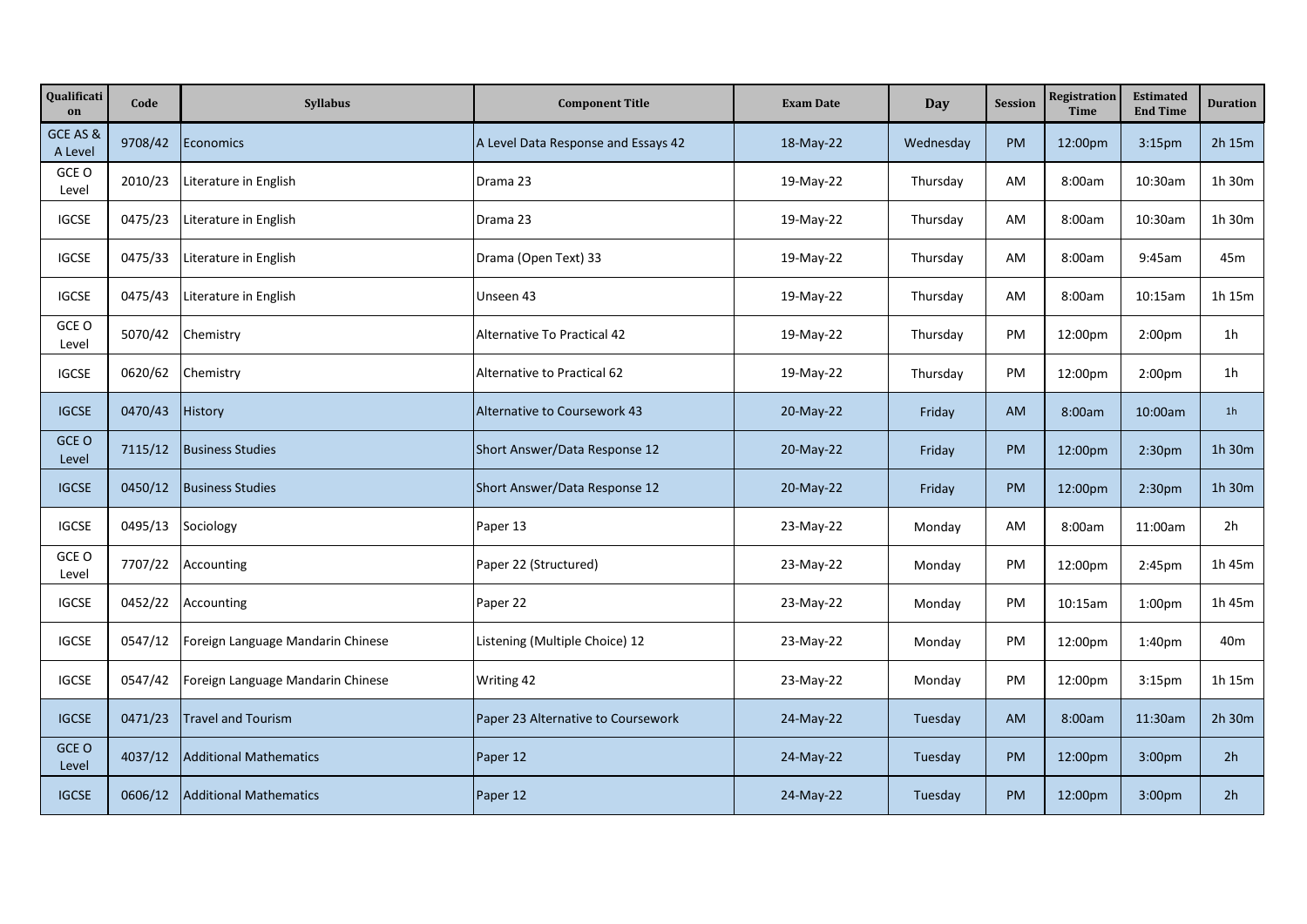| Qualificati<br>on   | Code    | <b>Syllabus</b>                   | <b>Component Title</b>              | <b>Exam Date</b> | Day       | <b>Session</b> | Registration<br><b>Time</b> | <b>Estimated</b><br><b>End Time</b> | <b>Duration</b> |
|---------------------|---------|-----------------------------------|-------------------------------------|------------------|-----------|----------------|-----------------------------|-------------------------------------|-----------------|
| GCE AS &<br>A Level | 9708/42 | <b>Economics</b>                  | A Level Data Response and Essays 42 | 18-May-22        | Wednesday | <b>PM</b>      | 12:00pm                     | 3:15 <sub>pm</sub>                  | 2h 15m          |
| GCE O<br>Level      | 2010/23 | Literature in English             | Drama 23                            | 19-May-22        | Thursday  | AM             | 8:00am                      | 10:30am                             | 1h 30m          |
| <b>IGCSE</b>        | 0475/23 | Literature in English             | Drama 23                            | 19-May-22        | Thursday  | AM             | 8:00am                      | 10:30am                             | 1h 30m          |
| <b>IGCSE</b>        | 0475/33 | Literature in English             | Drama (Open Text) 33                | 19-May-22        | Thursday  | AM             | 8:00am                      | 9:45am                              | 45m             |
| <b>IGCSE</b>        | 0475/43 | Literature in English             | Unseen 43                           | 19-May-22        | Thursday  | AM             | 8:00am                      | 10:15am                             | 1h 15m          |
| GCE O<br>Level      | 5070/42 | Chemistry                         | Alternative To Practical 42         | 19-May-22        | Thursday  | PM             | 12:00pm                     | 2:00 <sub>pm</sub>                  | 1h              |
| <b>IGCSE</b>        | 0620/62 | Chemistry                         | Alternative to Practical 62         | 19-May-22        | Thursday  | PM             | 12:00pm                     | 2:00 <sub>pm</sub>                  | 1h              |
| <b>IGCSE</b>        | 0470/43 | History                           | Alternative to Coursework 43        | 20-May-22        | Friday    | <b>AM</b>      | 8:00am                      | 10:00am                             | 1 <sub>h</sub>  |
| GCE O<br>Level      | 7115/12 | <b>Business Studies</b>           | Short Answer/Data Response 12       | 20-May-22        | Friday    | <b>PM</b>      | 12:00pm                     | 2:30pm                              | 1h 30m          |
| <b>IGCSE</b>        | 0450/12 | <b>Business Studies</b>           | Short Answer/Data Response 12       | 20-May-22        | Friday    | PM             | 12:00pm                     | 2:30 <sub>pm</sub>                  | 1h 30m          |
| <b>IGCSE</b>        | 0495/13 | Sociology                         | Paper 13                            | 23-May-22        | Monday    | AM             | 8:00am                      | 11:00am                             | 2h              |
| GCE O<br>Level      | 7707/22 | Accounting                        | Paper 22 (Structured)               | 23-May-22        | Monday    | PM             | 12:00pm                     | 2:45pm                              | 1h 45m          |
| <b>IGCSE</b>        | 0452/22 | Accounting                        | Paper 22                            | 23-May-22        | Monday    | PM             | 10:15am                     | 1:00 <sub>pm</sub>                  | 1h 45m          |
| <b>IGCSE</b>        | 0547/12 | Foreign Language Mandarin Chinese | Listening (Multiple Choice) 12      | 23-May-22        | Monday    | PM             | 12:00pm                     | 1:40pm                              | 40 <sub>m</sub> |
| <b>IGCSE</b>        | 0547/42 | Foreign Language Mandarin Chinese | Writing 42                          | 23-May-22        | Monday    | PM             | 12:00pm                     | 3:15 <sub>pm</sub>                  | 1h 15m          |
| <b>IGCSE</b>        | 0471/23 | <b>Travel and Tourism</b>         | Paper 23 Alternative to Coursework  | 24-May-22        | Tuesday   | <b>AM</b>      | 8:00am                      | 11:30am                             | 2h 30m          |
| GCE O<br>Level      | 4037/12 | <b>Additional Mathematics</b>     | Paper 12                            | 24-May-22        | Tuesday   | <b>PM</b>      | 12:00pm                     | 3:00pm                              | 2 <sub>h</sub>  |
| <b>IGCSE</b>        | 0606/12 | <b>Additional Mathematics</b>     | Paper 12                            | 24-May-22        | Tuesday   | <b>PM</b>      | 12:00pm                     | 3:00 <sub>pm</sub>                  | 2 <sub>h</sub>  |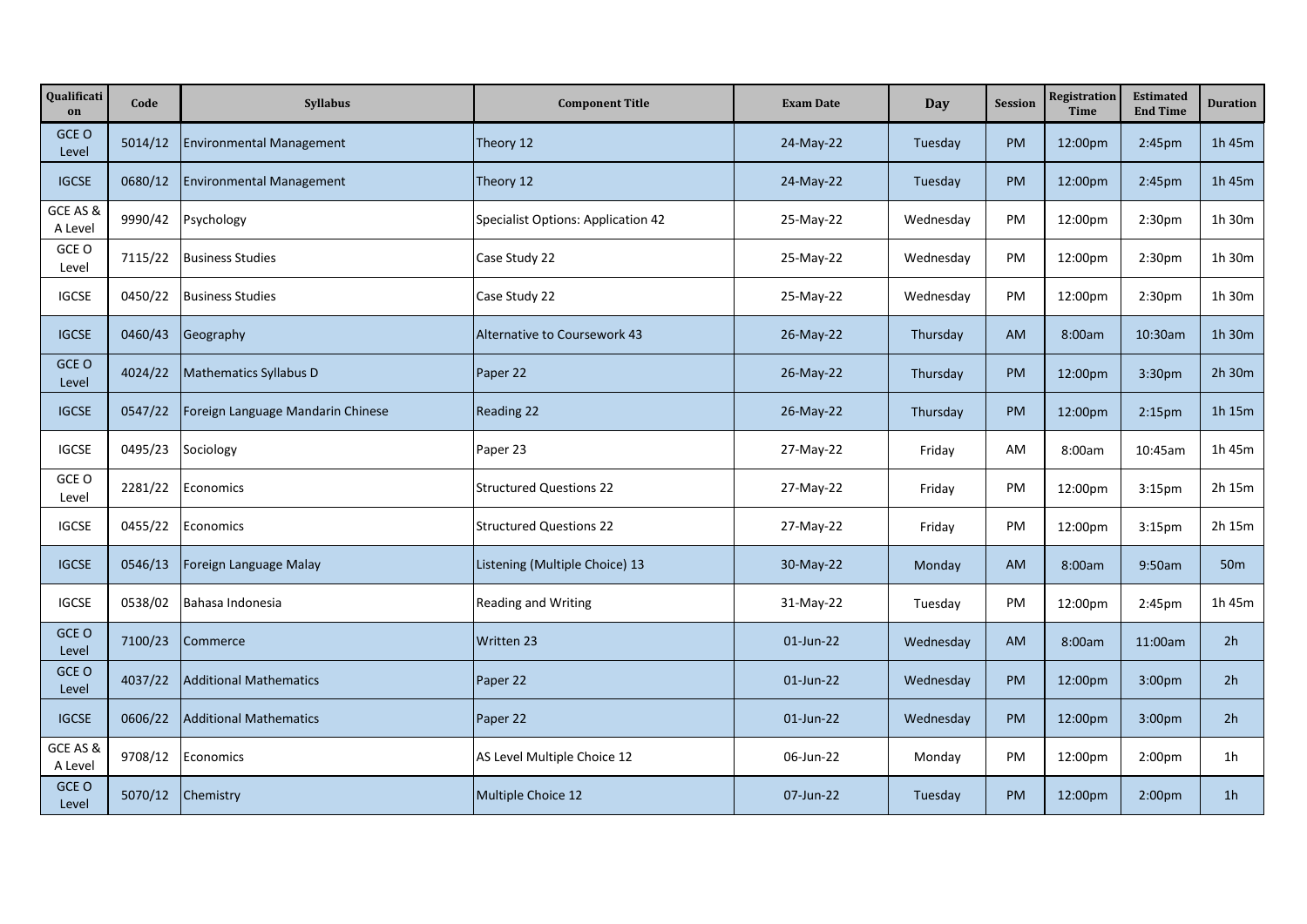| Qualificati<br>on   | Code    | <b>Syllabus</b>                   | <b>Component Title</b>             | <b>Exam Date</b> | Day       | <b>Session</b> | Registration<br><b>Time</b> | <b>Estimated</b><br><b>End Time</b> | <b>Duration</b> |
|---------------------|---------|-----------------------------------|------------------------------------|------------------|-----------|----------------|-----------------------------|-------------------------------------|-----------------|
| GCE O<br>Level      | 5014/12 | <b>Environmental Management</b>   | Theory 12                          | 24-May-22        | Tuesday   | <b>PM</b>      | 12:00pm                     | 2:45pm                              | 1h 45m          |
| <b>IGCSE</b>        | 0680/12 | <b>Environmental Management</b>   | Theory 12                          | 24-May-22        | Tuesday   | <b>PM</b>      | 12:00pm                     | 2:45pm                              | 1h 45m          |
| GCE AS &<br>A Level | 9990/42 | Psychology                        | Specialist Options: Application 42 | 25-May-22        | Wednesday | PM             | 12:00pm                     | 2:30 <sub>pm</sub>                  | 1h 30m          |
| GCE O<br>Level      | 7115/22 | <b>Business Studies</b>           | Case Study 22                      | 25-May-22        | Wednesday | PM             | 12:00pm                     | 2:30 <sub>pm</sub>                  | 1h 30m          |
| <b>IGCSE</b>        | 0450/22 | <b>Business Studies</b>           | Case Study 22                      | 25-May-22        | Wednesday | PM             | 12:00pm                     | 2:30 <sub>pm</sub>                  | 1h 30m          |
| <b>IGCSE</b>        | 0460/43 | Geography                         | Alternative to Coursework 43       | 26-May-22        | Thursday  | <b>AM</b>      | 8:00am                      | 10:30am                             | 1h 30m          |
| GCE O<br>Level      | 4024/22 | <b>Mathematics Syllabus D</b>     | Paper 22                           | 26-May-22        | Thursday  | <b>PM</b>      | 12:00pm                     | 3:30 <sub>pm</sub>                  | 2h 30m          |
| <b>IGCSE</b>        | 0547/22 | Foreign Language Mandarin Chinese | <b>Reading 22</b>                  | 26-May-22        | Thursday  | <b>PM</b>      | 12:00pm                     | 2:15 <sub>pm</sub>                  | 1h 15m          |
| <b>IGCSE</b>        | 0495/23 | Sociology                         | Paper 23                           | 27-May-22        | Friday    | AM             | 8:00am                      | 10:45am                             | 1h 45m          |
| GCE O<br>Level      | 2281/22 | Economics                         | <b>Structured Questions 22</b>     | 27-May-22        | Friday    | PM             | 12:00pm                     | 3:15 <sub>pm</sub>                  | 2h 15m          |
| <b>IGCSE</b>        | 0455/22 | Economics                         | <b>Structured Questions 22</b>     | 27-May-22        | Friday    | PM             | 12:00pm                     | 3:15 <sub>pm</sub>                  | 2h 15m          |
| <b>IGCSE</b>        | 0546/13 | Foreign Language Malay            | Listening (Multiple Choice) 13     | 30-May-22        | Monday    | <b>AM</b>      | 8:00am                      | 9:50am                              | 50 <sub>m</sub> |
| <b>IGCSE</b>        | 0538/02 | Bahasa Indonesia                  | <b>Reading and Writing</b>         | 31-May-22        | Tuesday   | PM             | 12:00pm                     | 2:45pm                              | 1h 45m          |
| GCE O<br>Level      | 7100/23 | Commerce                          | Written 23                         | 01-Jun-22        | Wednesday | <b>AM</b>      | 8:00am                      | 11:00am                             | 2 <sub>h</sub>  |
| GCE O<br>Level      | 4037/22 | <b>Additional Mathematics</b>     | Paper 22                           | 01-Jun-22        | Wednesday | <b>PM</b>      | 12:00pm                     | 3:00pm                              | 2 <sub>h</sub>  |
| <b>IGCSE</b>        | 0606/22 | <b>Additional Mathematics</b>     | Paper 22                           | 01-Jun-22        | Wednesday | <b>PM</b>      | 12:00pm                     | 3:00pm                              | 2 <sub>h</sub>  |
| GCE AS &<br>A Level | 9708/12 | Economics                         | AS Level Multiple Choice 12        | 06-Jun-22        | Monday    | PM             | 12:00pm                     | 2:00pm                              | 1h              |
| GCE O<br>Level      | 5070/12 | Chemistry                         | Multiple Choice 12                 | 07-Jun-22        | Tuesday   | PM             | 12:00pm                     | 2:00 <sub>pm</sub>                  | 1 <sub>h</sub>  |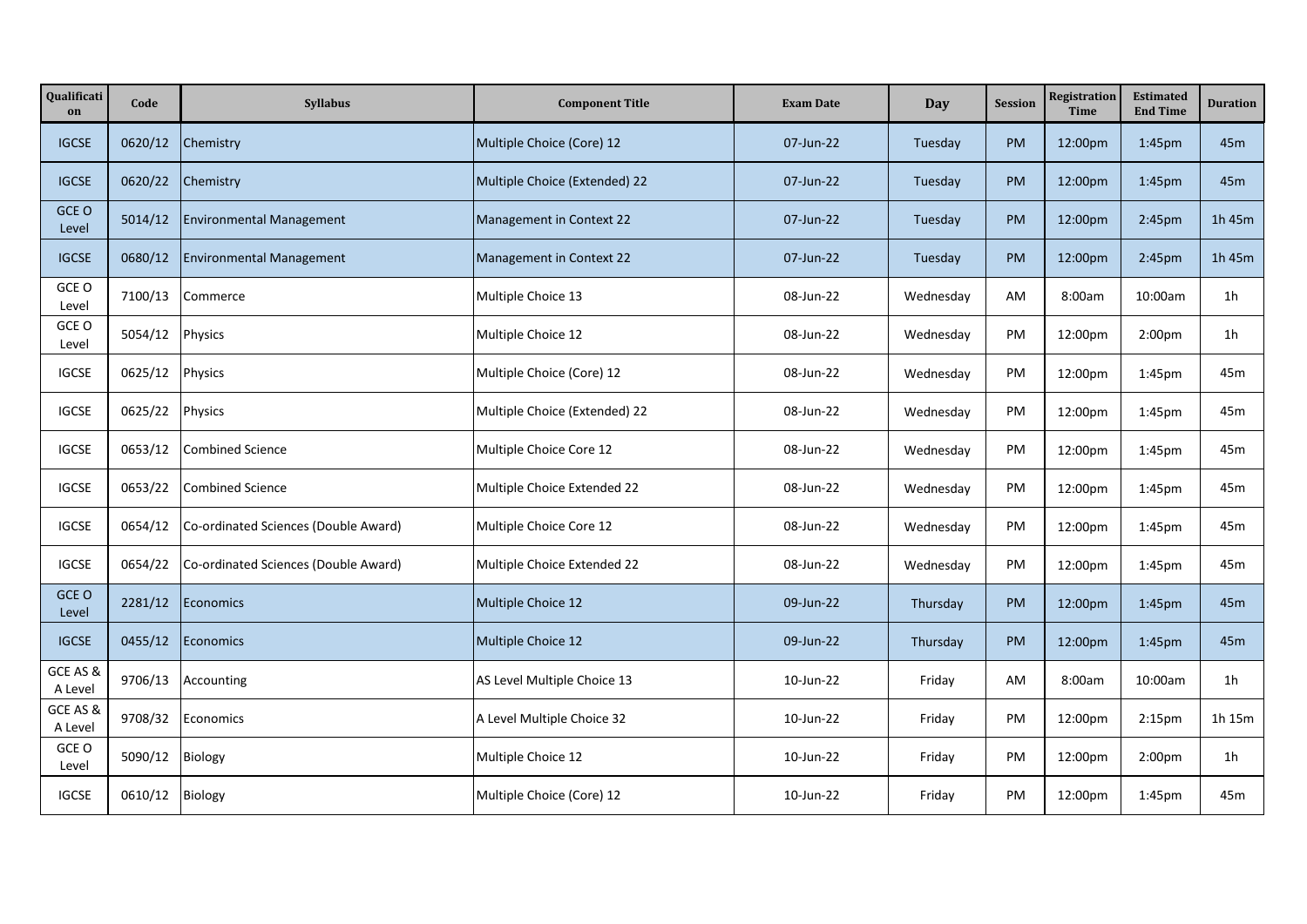| Qualificati<br>on   | Code    | <b>Syllabus</b>                      | <b>Component Title</b>        | <b>Exam Date</b> | Day       | <b>Session</b> | Registration<br><b>Time</b> | <b>Estimated</b><br><b>End Time</b> | <b>Duration</b> |
|---------------------|---------|--------------------------------------|-------------------------------|------------------|-----------|----------------|-----------------------------|-------------------------------------|-----------------|
| <b>IGCSE</b>        | 0620/12 | Chemistry                            | Multiple Choice (Core) 12     | 07-Jun-22        | Tuesday   | PM             | 12:00pm                     | 1:45pm                              | 45m             |
| <b>IGCSE</b>        | 0620/22 | Chemistry                            | Multiple Choice (Extended) 22 | 07-Jun-22        | Tuesday   | <b>PM</b>      | 12:00pm                     | 1:45pm                              | 45m             |
| GCE O<br>Level      | 5014/12 | <b>Environmental Management</b>      | Management in Context 22      | 07-Jun-22        | Tuesday   | <b>PM</b>      | 12:00pm                     | 2:45pm                              | 1h 45m          |
| <b>IGCSE</b>        | 0680/12 | <b>Environmental Management</b>      | Management in Context 22      | 07-Jun-22        | Tuesday   | <b>PM</b>      | 12:00pm                     | 2:45pm                              | 1h 45m          |
| GCE O<br>Level      | 7100/13 | Commerce                             | Multiple Choice 13            | 08-Jun-22        | Wednesday | AM             | 8:00am                      | 10:00am                             | 1 <sub>h</sub>  |
| GCE O<br>Level      | 5054/12 | Physics                              | Multiple Choice 12            | 08-Jun-22        | Wednesday | PM             | 12:00pm                     | 2:00 <sub>pm</sub>                  | 1 <sub>h</sub>  |
| <b>IGCSE</b>        | 0625/12 | Physics                              | Multiple Choice (Core) 12     | 08-Jun-22        | Wednesday | PM             | 12:00pm                     | 1:45 <sub>pm</sub>                  | 45m             |
| <b>IGCSE</b>        | 0625/22 | Physics                              | Multiple Choice (Extended) 22 | 08-Jun-22        | Wednesday | PM             | 12:00pm                     | 1:45 <sub>pm</sub>                  | 45m             |
| <b>IGCSE</b>        | 0653/12 | <b>Combined Science</b>              | Multiple Choice Core 12       | 08-Jun-22        | Wednesday | PM             | 12:00pm                     | 1:45 <sub>pm</sub>                  | 45m             |
| <b>IGCSE</b>        | 0653/22 | <b>Combined Science</b>              | Multiple Choice Extended 22   | 08-Jun-22        | Wednesday | PM             | 12:00pm                     | 1:45 <sub>pm</sub>                  | 45m             |
| <b>IGCSE</b>        | 0654/12 | Co-ordinated Sciences (Double Award) | Multiple Choice Core 12       | 08-Jun-22        | Wednesday | PM             | 12:00pm                     | 1:45 <sub>pm</sub>                  | 45m             |
| <b>IGCSE</b>        | 0654/22 | Co-ordinated Sciences (Double Award) | Multiple Choice Extended 22   | 08-Jun-22        | Wednesday | PM             | 12:00pm                     | 1:45 <sub>pm</sub>                  | 45m             |
| GCE O<br>Level      | 2281/12 | Economics                            | Multiple Choice 12            | 09-Jun-22        | Thursday  | <b>PM</b>      | 12:00pm                     | 1:45pm                              | 45m             |
| <b>IGCSE</b>        | 0455/12 | Economics                            | Multiple Choice 12            | 09-Jun-22        | Thursday  | <b>PM</b>      | 12:00pm                     | 1:45pm                              | 45m             |
| GCE AS &<br>A Level | 9706/13 | Accounting                           | AS Level Multiple Choice 13   | 10-Jun-22        | Friday    | AM             | 8:00am                      | 10:00am                             | 1 <sub>h</sub>  |
| GCE AS &<br>A Level | 9708/32 | Economics                            | A Level Multiple Choice 32    | 10-Jun-22        | Friday    | PM             | 12:00pm                     | 2:15 <sub>pm</sub>                  | 1h 15m          |
| GCE O<br>Level      | 5090/12 | Biology                              | Multiple Choice 12            | 10-Jun-22        | Friday    | PM             | 12:00pm                     | 2:00 <sub>pm</sub>                  | 1h              |
| <b>IGCSE</b>        | 0610/12 | Biology                              | Multiple Choice (Core) 12     | 10-Jun-22        | Friday    | PM             | 12:00pm                     | 1:45 <sub>pm</sub>                  | 45m             |